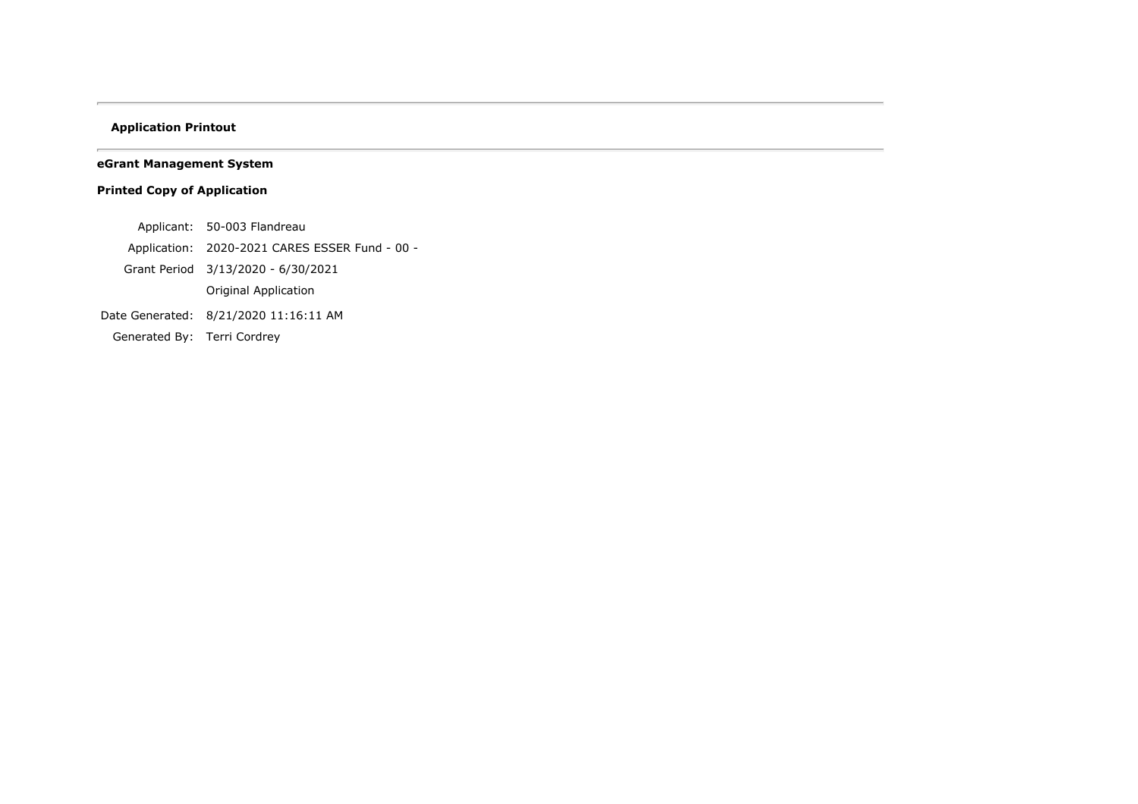## **Application Printout**

**eGrant Management System**

# **Printed Copy of Application**

- Applicant: 50-003 Flandreau
- Application: 2020-2021 CARES ESSER Fund 00 -
- Grant Period 3/13/2020 6/30/2021
	- Original Application
- Date Generated: 8/21/2020 11:16:11 AM
- Generated By: Terri Cordrey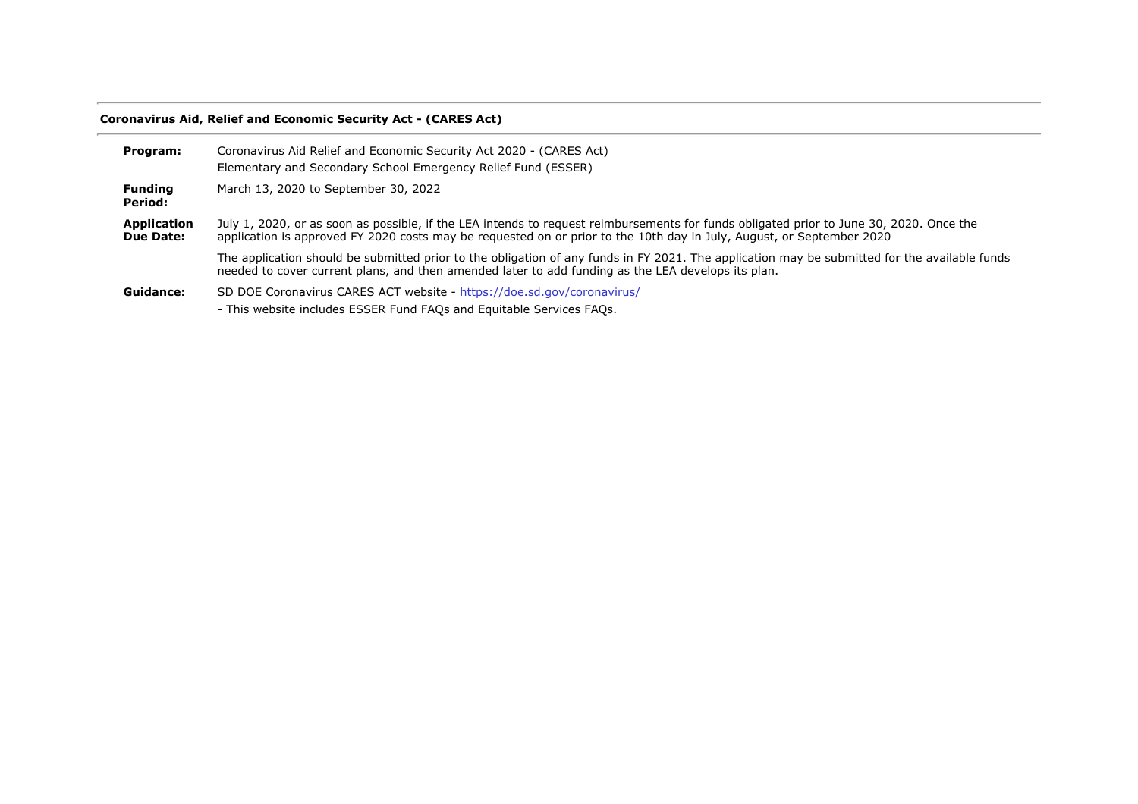# **Coronavirus Aid, Relief and Economic Security Act - (CARES Act)**

| Program:                        | Coronavirus Aid Relief and Economic Security Act 2020 - (CARES Act)                                                                                                                                                                                              |
|---------------------------------|------------------------------------------------------------------------------------------------------------------------------------------------------------------------------------------------------------------------------------------------------------------|
|                                 | Elementary and Secondary School Emergency Relief Fund (ESSER)                                                                                                                                                                                                    |
| <b>Funding</b><br>Period:       | March 13, 2020 to September 30, 2022                                                                                                                                                                                                                             |
| Application<br><b>Due Date:</b> | July 1, 2020, or as soon as possible, if the LEA intends to request reimbursements for funds obligated prior to June 30, 2020. Once the<br>application is approved FY 2020 costs may be requested on or prior to the 10th day in July, August, or September 2020 |
|                                 | The application should be submitted prior to the obligation of any funds in FY 2021. The application may be submitted for the available funds<br>needed to cover current plans, and then amended later to add funding as the LEA develops its plan.              |
| Guidance:                       | SD DOE Coronavirus CARES ACT website - https://doe.sd.gov/coronavirus/<br>- This website includes ESSER Fund FAOs and Equitable Services FAOs.                                                                                                                   |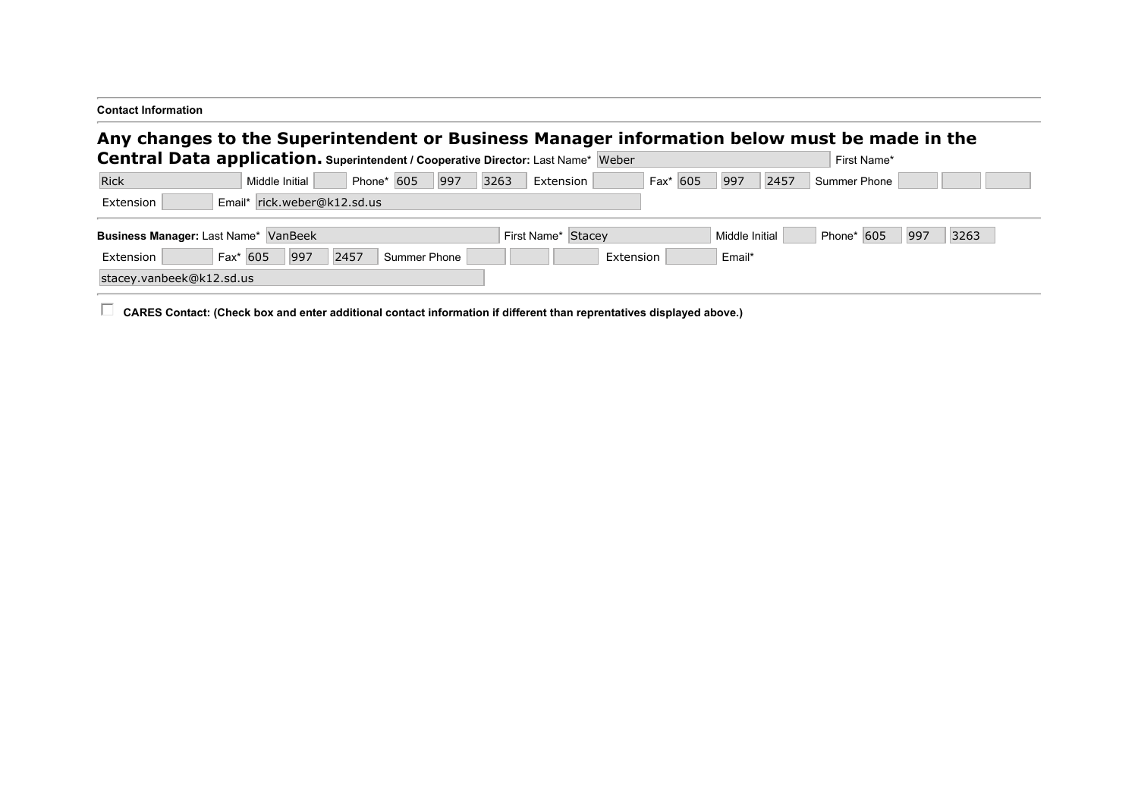| <b>Contact Information</b>                                                                                                                                                       |                                                                 |                             |
|----------------------------------------------------------------------------------------------------------------------------------------------------------------------------------|-----------------------------------------------------------------|-----------------------------|
| Any changes to the Superintendent or Business Manager information below must be made in the<br>Central Data application. Superintendent / Cooperative Director: Last Name* Weber |                                                                 | First Name*                 |
| Rick<br>Phone* 605<br>Middle Initial                                                                                                                                             | Fax <sup>*</sup> 605<br>997<br>$\vert$ 997<br>3263<br>Extension | 2457<br><b>Summer Phone</b> |
| Email* rick.weber@k12.sd.us<br>Extension                                                                                                                                         |                                                                 |                             |
| Business Manager: Last Name* VanBeek                                                                                                                                             | Middle Initial<br>First Name* Stacey                            | Phone* 605<br>997<br>3263   |
| 2457<br>Fax* 605<br>997<br>Extension<br>Summer Phone                                                                                                                             | Email*<br>Extension                                             |                             |
| stacey.vanbeek@k12.sd.us                                                                                                                                                         |                                                                 |                             |
|                                                                                                                                                                                  |                                                                 |                             |

CARES Contact: (Check box and enter additional contact information if different than reprentatives displayed above.)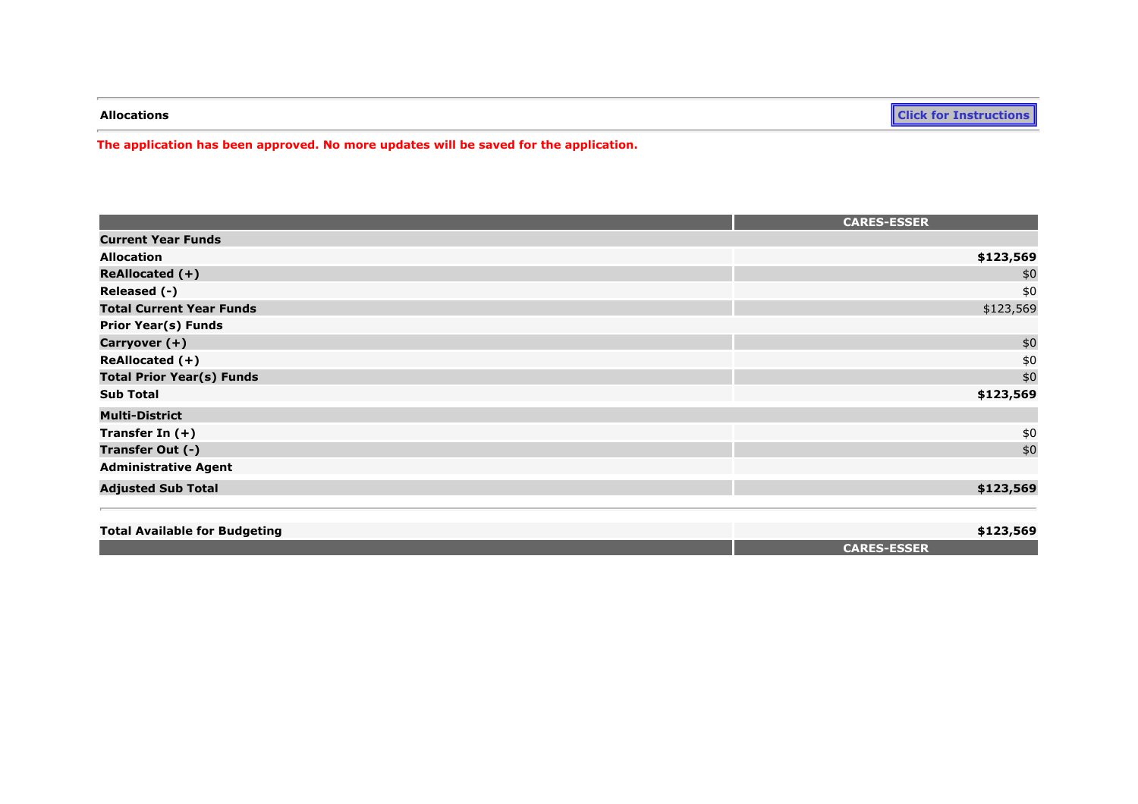**Allocations [Click for Instructions](https://sddoe.mtwgms.org/SDDOEGMSWeb/PageRefDocs/PerkinsDocs/NCLB-IDEAAllocationPageInstr.pdf)**

**The application has been approved. No more updates will be saved for the application.**

|                                      | <b>CARES-ESSER</b> |
|--------------------------------------|--------------------|
| <b>Current Year Funds</b>            |                    |
| <b>Allocation</b>                    | \$123,569          |
| ReAllocated (+)                      | \$0                |
| Released (-)                         | \$0                |
| <b>Total Current Year Funds</b>      | \$123,569          |
| <b>Prior Year(s) Funds</b>           |                    |
| Carryover (+)                        | \$0                |
| ReAllocated (+)                      | \$0                |
| <b>Total Prior Year(s) Funds</b>     | \$0                |
| <b>Sub Total</b>                     | \$123,569          |
| <b>Multi-District</b>                |                    |
| Transfer In $(+)$                    | \$0                |
| Transfer Out (-)                     | \$0                |
| <b>Administrative Agent</b>          |                    |
| <b>Adjusted Sub Total</b>            | \$123,569          |
| <b>Total Available for Budgeting</b> | \$123,569          |
|                                      | <b>CARES-ESSER</b> |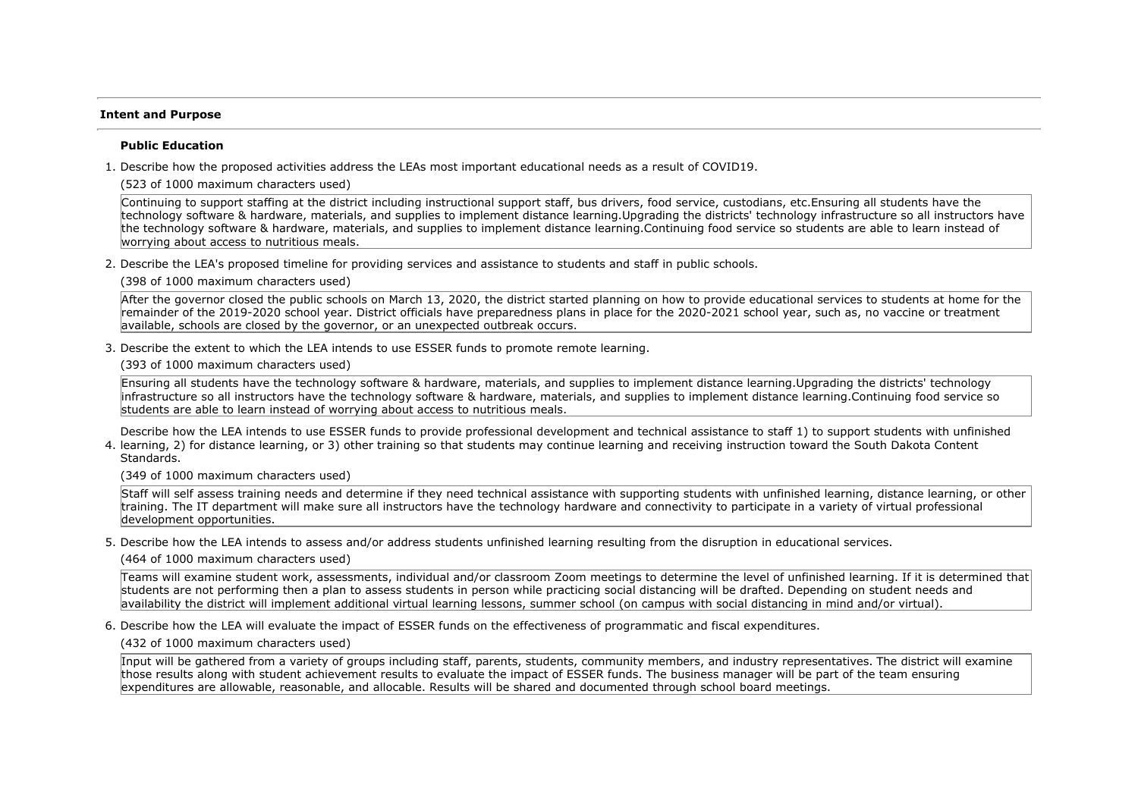### **Intent and Purpose**

### **Public Education**

1. Describe how the proposed activities address the LEAs most important educational needs as a result of COVID19.

(523 of 1000 maximum characters used)

Continuing to support staffing at the district including instructional support staff, bus drivers, food service, custodians, etc.Ensuring all students have the technology software & hardware, materials, and supplies to implement distance learning.Upgrading the districts' technology infrastructure so all instructors have the technology software & hardware, materials, and supplies to implement distance learning.Continuing food service so students are able to learn instead of worrying about access to nutritious meals.

2. Describe the LEA's proposed timeline for providing services and assistance to students and staff in public schools.

(398 of 1000 maximum characters used)

After the governor closed the public schools on March 13, 2020, the district started planning on how to provide educational services to students at home for the remainder of the 2019-2020 school year. District officials have preparedness plans in place for the 2020-2021 school year, such as, no vaccine or treatment available, schools are closed by the governor, or an unexpected outbreak occurs.

3. Describe the extent to which the LEA intends to use ESSER funds to promote remote learning.

(393 of 1000 maximum characters used)

Ensuring all students have the technology software & hardware, materials, and supplies to implement distance learning.Upgrading the districts' technology infrastructure so all instructors have the technology software & hardware, materials, and supplies to implement distance learning.Continuing food service so students are able to learn instead of worrying about access to nutritious meals.

4. learning, 2) for distance learning, or 3) other training so that students may continue learning and receiving instruction toward the South Dakota Content Describe how the LEA intends to use ESSER funds to provide professional development and technical assistance to staff 1) to support students with unfinished Standards.

(349 of 1000 maximum characters used)

Staff will self assess training needs and determine if they need technical assistance with supporting students with unfinished learning, distance learning, or other training. The IT department will make sure all instructors have the technology hardware and connectivity to participate in a variety of virtual professional development opportunities.

5. Describe how the LEA intends to assess and/or address students unfinished learning resulting from the disruption in educational services.

(464 of 1000 maximum characters used)

Teams will examine student work, assessments, individual and/or classroom Zoom meetings to determine the level of unfinished learning. If it is determined that students are not performing then a plan to assess students in person while practicing social distancing will be drafted. Depending on student needs and availability the district will implement additional virtual learning lessons, summer school (on campus with social distancing in mind and/or virtual).

6. Describe how the LEA will evaluate the impact of ESSER funds on the effectiveness of programmatic and fiscal expenditures.

(432 of 1000 maximum characters used)

Input will be gathered from a variety of groups including staff, parents, students, community members, and industry representatives. The district will examine those results along with student achievement results to evaluate the impact of ESSER funds. The business manager will be part of the team ensuring expenditures are allowable, reasonable, and allocable. Results will be shared and documented through school board meetings.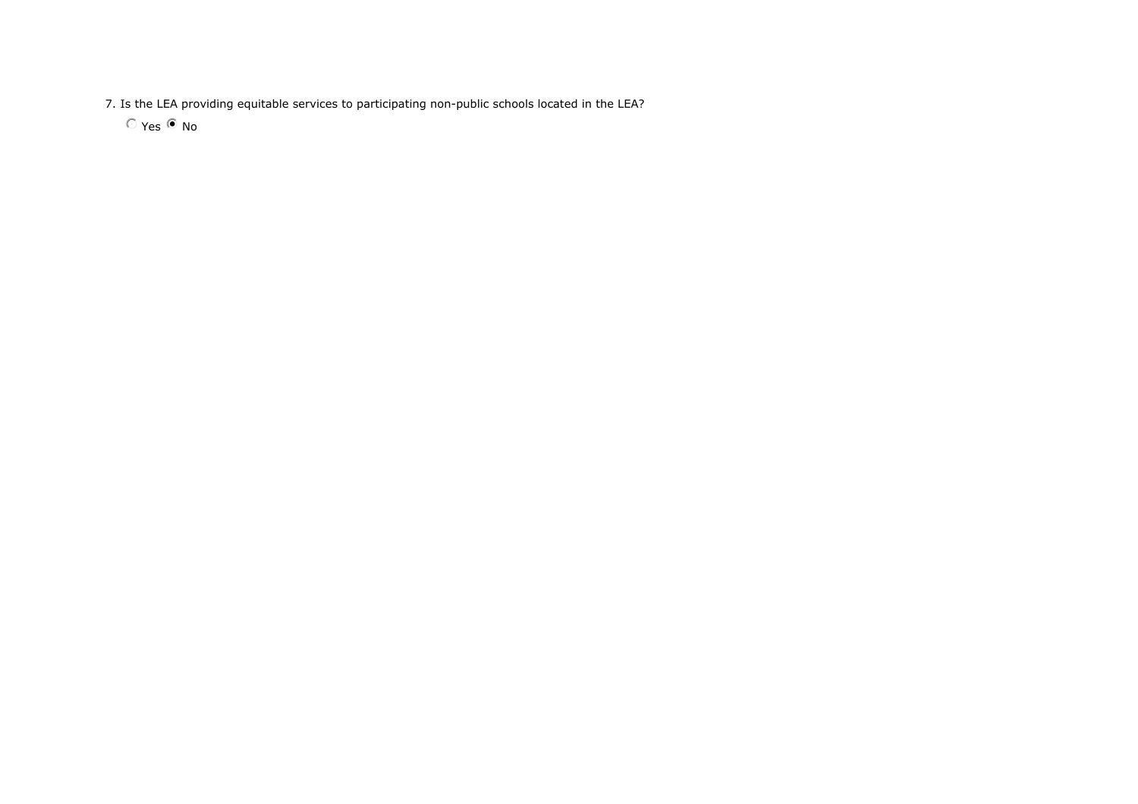7. Is the LEA providing equitable services to participating non-public schools located in the LEA?

 $O$  Yes  $\odot$  No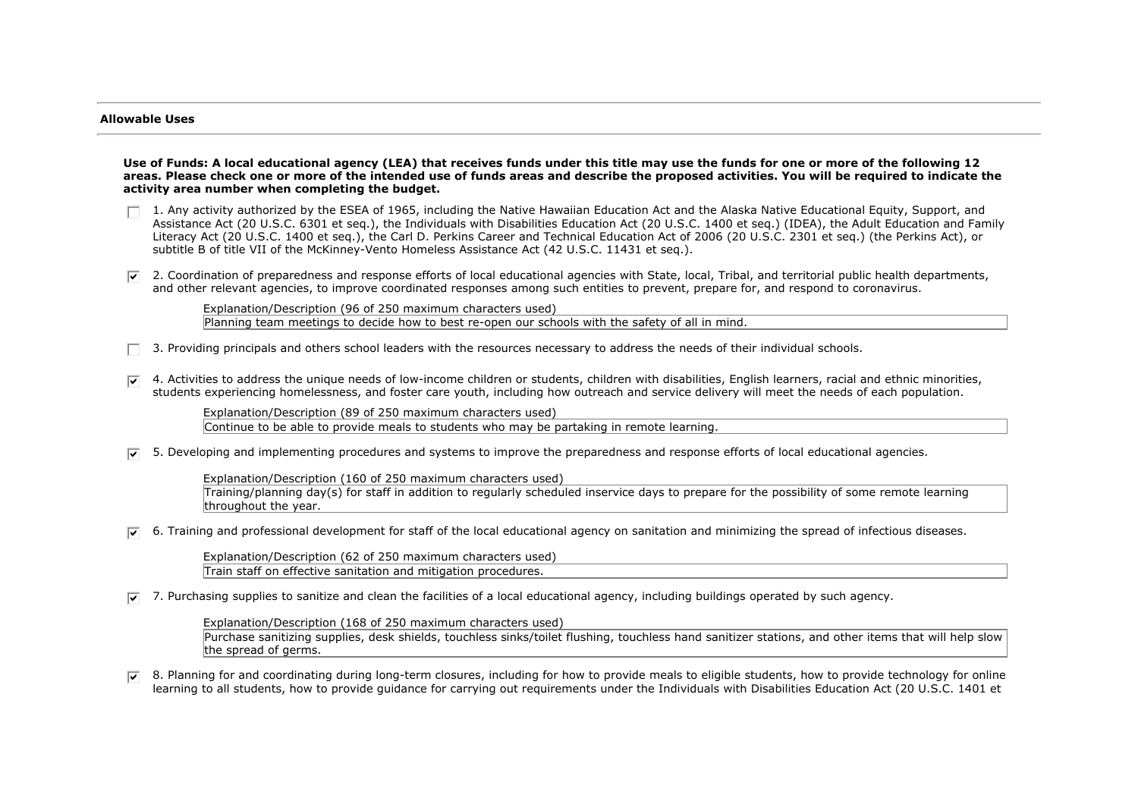### **Allowable Uses**

**Use of Funds: A local educational agency (LEA) that receives funds under this title may use the funds for one or more of the following 12 areas. Please check one or more of the intended use of funds areas and describe the proposed activities. You will be required to indicate the activity area number when completing the budget.**

- $\Box$  1. Any activity authorized by the ESEA of 1965, including the Native Hawaiian Education Act and the Alaska Native Educational Equity, Support, and Assistance Act (20 U.S.C. 6301 et seq.), the Individuals with Disabilities Education Act (20 U.S.C. 1400 et seq.) (IDEA), the Adult Education and Family Literacy Act (20 U.S.C. 1400 et seq.), the Carl D. Perkins Career and Technical Education Act of 2006 (20 U.S.C. 2301 et seq.) (the Perkins Act), or subtitle B of title VII of the McKinney-Vento Homeless Assistance Act (42 U.S.C. 11431 et seq.).
- $\nabla$  2. Coordination of preparedness and response efforts of local educational agencies with State, local, Tribal, and territorial public health departments, and other relevant agencies, to improve coordinated responses among such entities to prevent, prepare for, and respond to coronavirus.

Explanation/Description (96 of 250 maximum characters used) Planning team meetings to decide how to best re-open our schools with the safety of all in mind.

- 3. Providing principals and others school leaders with the resources necessary to address the needs of their individual schools.
- $\nabla$  4. Activities to address the unique needs of low-income children or students, children with disabilities, English learners, racial and ethnic minorities, students experiencing homelessness, and foster care youth, including how outreach and service delivery will meet the needs of each population.

Explanation/Description (89 of 250 maximum characters used) Continue to be able to provide meals to students who may be partaking in remote learning.

 $\overline{v}$  5. Developing and implementing procedures and systems to improve the preparedness and response efforts of local educational agencies.

Explanation/Description (160 of 250 maximum characters used) Training/planning day(s) for staff in addition to regularly scheduled inservice days to prepare for the possibility of some remote learning throughout the year.

 $\overline{v}$  6. Training and professional development for staff of the local educational agency on sanitation and minimizing the spread of infectious diseases.

Explanation/Description (62 of 250 maximum characters used) Train staff on effective sanitation and mitigation procedures.

 $\overline{v}$  7. Purchasing supplies to sanitize and clean the facilities of a local educational agency, including buildings operated by such agency.

Explanation/Description (168 of 250 maximum characters used)

Purchase sanitizing supplies, desk shields, touchless sinks/toilet flushing, touchless hand sanitizer stations, and other items that will help slow the spread of germs.

 $\overline{v}$  8. Planning for and coordinating during long-term closures, including for how to provide meals to eligible students, how to provide technology for online learning to all students, how to provide guidance for carrying out requirements under the Individuals with Disabilities Education Act (20 U.S.C. 1401 et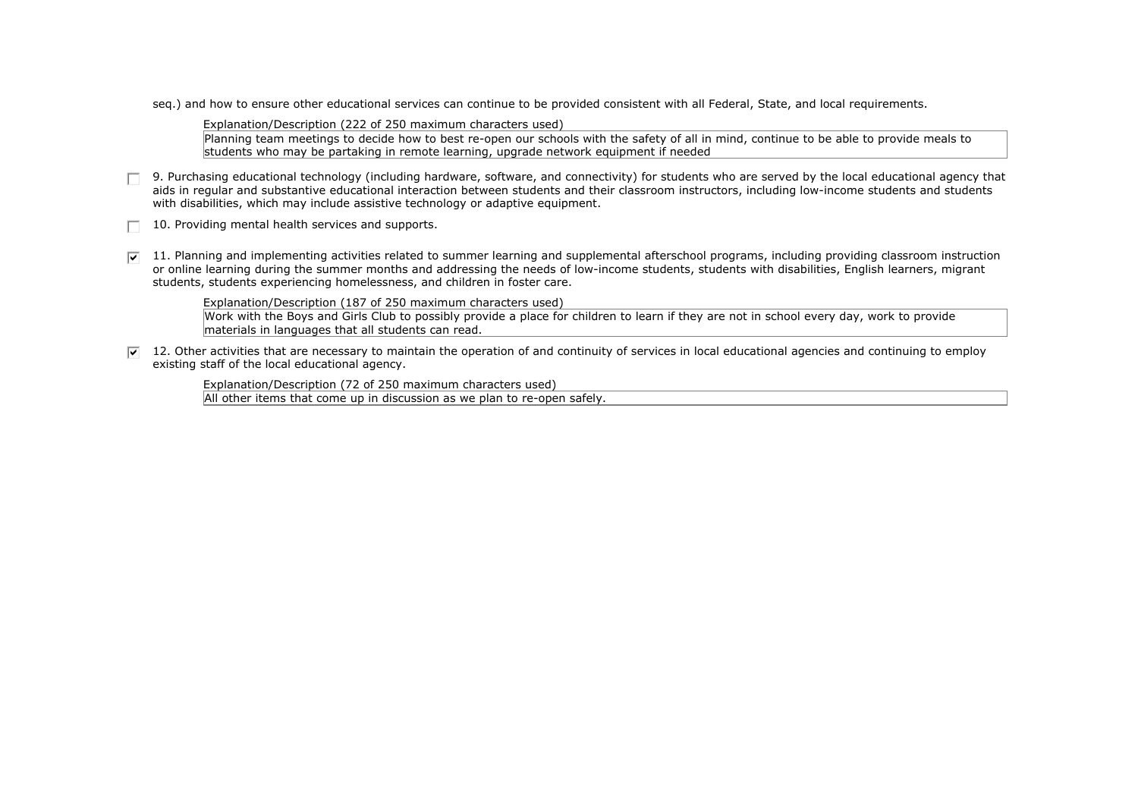seq.) and how to ensure other educational services can continue to be provided consistent with all Federal, State, and local requirements.

Explanation/Description (222 of 250 maximum characters used)

Planning team meetings to decide how to best re-open our schools with the safety of all in mind, continue to be able to provide meals to students who may be partaking in remote learning, upgrade network equipment if needed

- $\Box$  9. Purchasing educational technology (including hardware, software, and connectivity) for students who are served by the local educational agency that aids in regular and substantive educational interaction between students and their classroom instructors, including low-income students and students with disabilities, which may include assistive technology or adaptive equipment.
- 10. Providing mental health services and supports.
- $\overline{v}$  11. Planning and implementing activities related to summer learning and supplemental afterschool programs, including providing classroom instruction or online learning during the summer months and addressing the needs of low-income students, students with disabilities, English learners, migrant students, students experiencing homelessness, and children in foster care.

Explanation/Description (187 of 250 maximum characters used)

Work with the Boys and Girls Club to possibly provide a place for children to learn if they are not in school every day, work to provide materials in languages that all students can read.

 $\overline{v}$  12. Other activities that are necessary to maintain the operation of and continuity of services in local educational agencies and continuing to employ existing staff of the local educational agency.

Explanation/Description (72 of 250 maximum characters used) All other items that come up in discussion as we plan to re-open safely.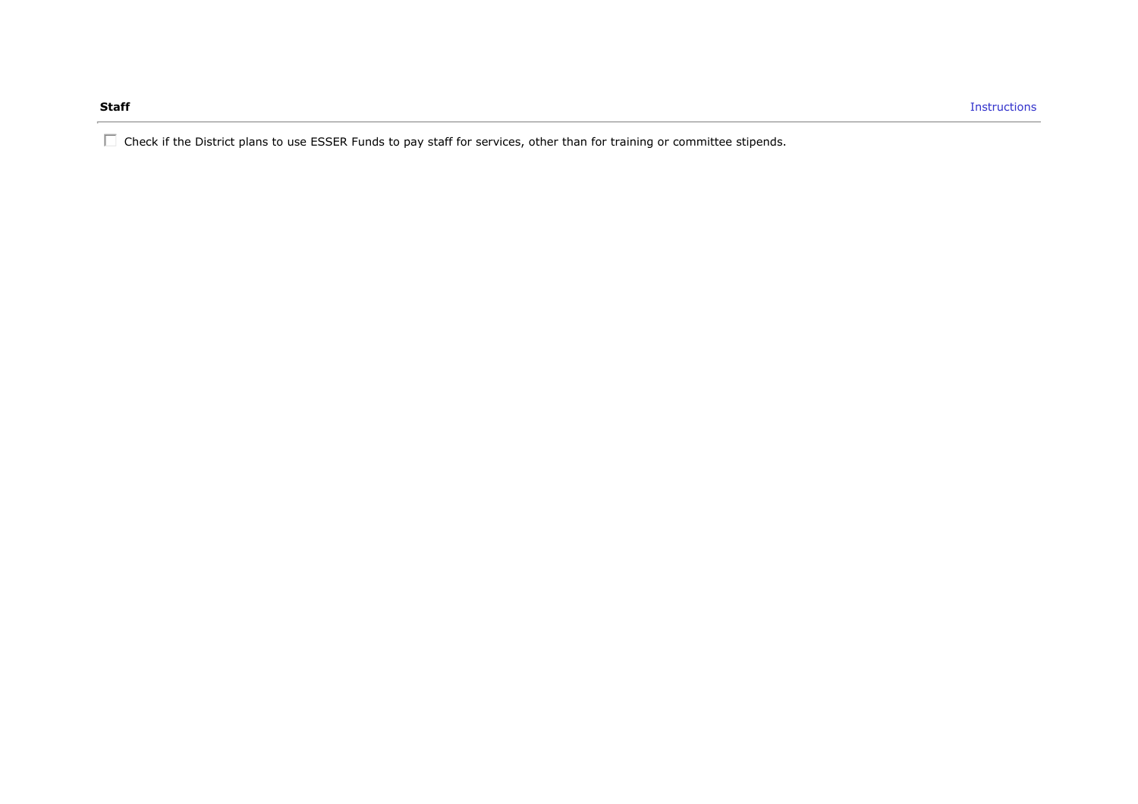$\Box$  Check if the District plans to use ESSER Funds to pay staff for services, other than for training or committee stipends.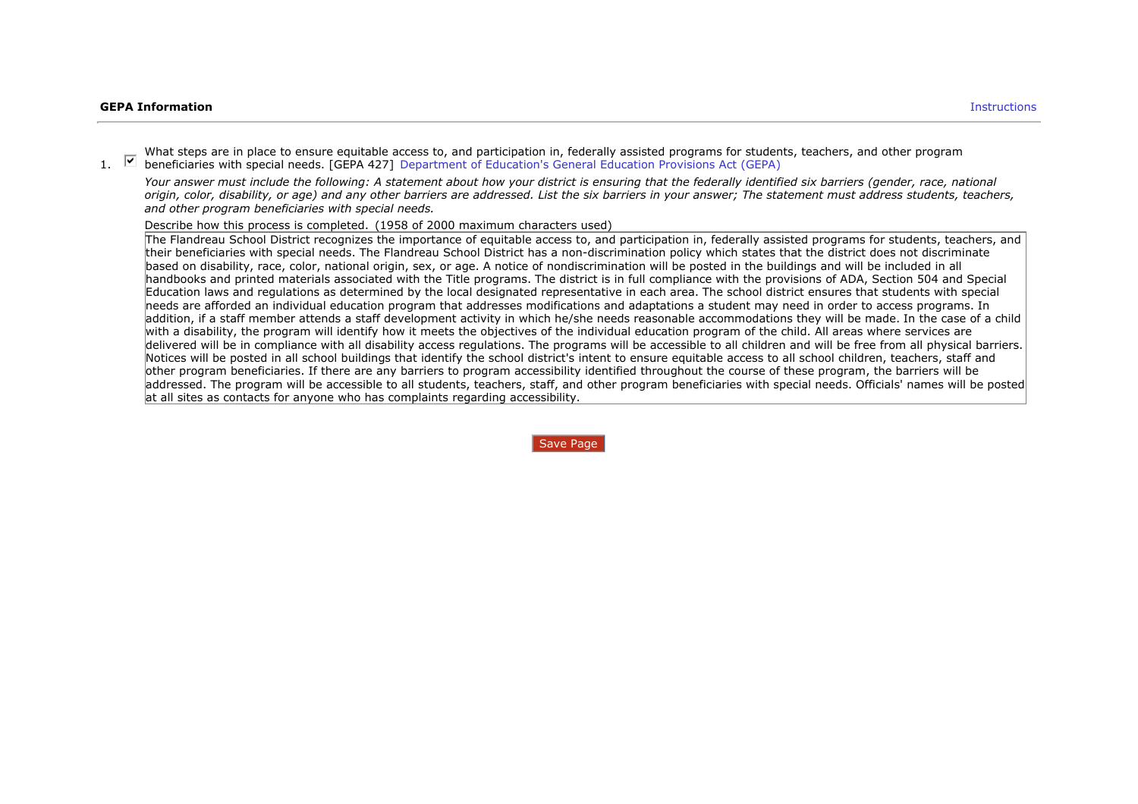What steps are in place to ensure equitable access to, and participation in, federally assisted programs for students, teachers, and other program<br>1.  $\blacksquare$  beneficiaries with special needs. [GEPA 427] Department of Educa beneficiaries with special needs. [GEPA 427] Department of Education's General Education Provisions Act (GEPA)

*Your answer must include the following: A statement about how your district is ensuring that the federally identified six barriers (gender, race, national origin, color, disability, or age) and any other barriers are addressed. List the six barriers in your answer; The statement must address students, teachers, and other program beneficiaries with special needs.*

Describe how this process is completed. (1958 of 2000 maximum characters used)

The Flandreau School District recognizes the importance of equitable access to, and participation in, federally assisted programs for students, teachers, and their beneficiaries with special needs. The Flandreau School District has a non-discrimination policy which states that the district does not discriminate based on disability, race, color, national origin, sex, or age. A notice of nondiscrimination will be posted in the buildings and will be included in all handbooks and printed materials associated with the Title programs. The district is in full compliance with the provisions of ADA, Section 504 and Special Education laws and regulations as determined by the local designated representative in each area. The school district ensures that students with special needs are afforded an individual education program that addresses modifications and adaptations a student may need in order to access programs. In addition, if a staff member attends a staff development activity in which he/she needs reasonable accommodations they will be made. In the case of a child with a disability, the program will identify how it meets the objectives of the individual education program of the child. All areas where services are delivered will be in compliance with all disability access regulations. The programs will be accessible to all children and will be free from all physical barriers. Notices will be posted in all school buildings that identify the school district's intent to ensure equitable access to all school children, teachers, staff and other program beneficiaries. If there are any barriers to program accessibility identified throughout the course of these program, the barriers will be addressed. The program will be accessible to all students, teachers, staff, and other program beneficiaries with special needs. Officials' names will be posted at all sites as contacts for anyone who has complaints regarding accessibility.

Save Page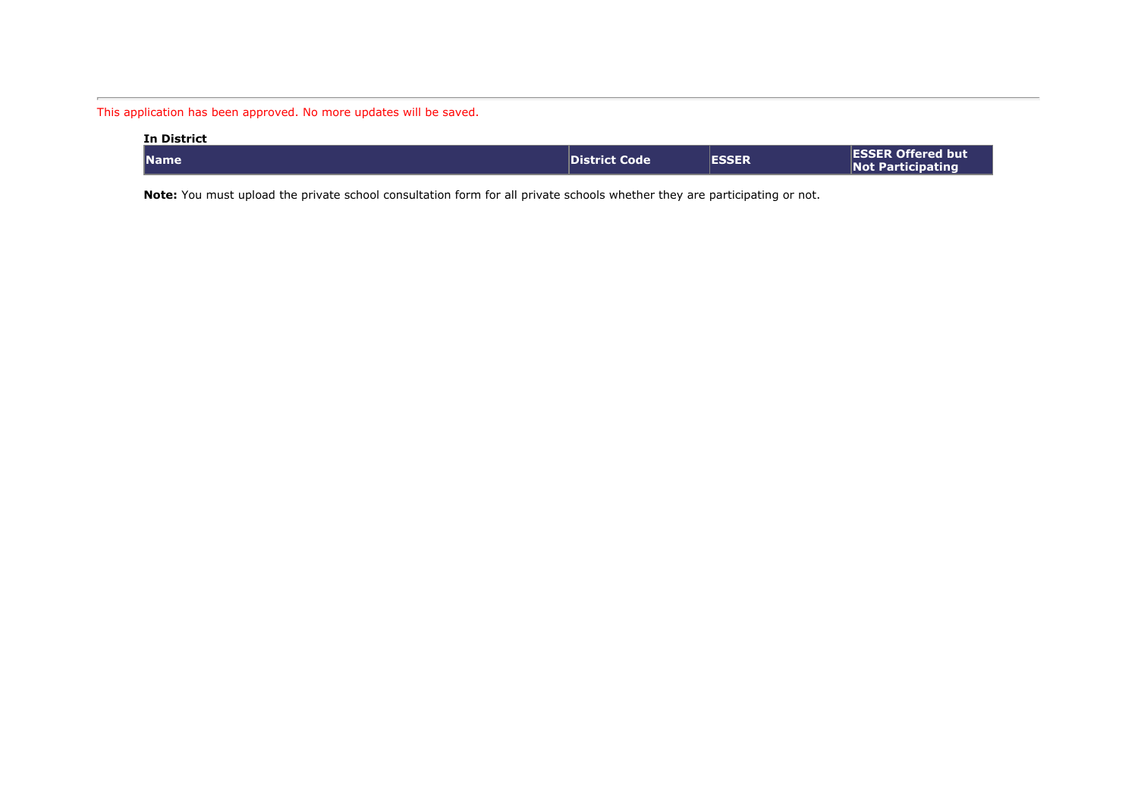This application has been approved. No more updates will be saved.

| <b>In District</b> |                      |              |                                                      |
|--------------------|----------------------|--------------|------------------------------------------------------|
| <b>Name</b>        | <b>District Code</b> | <b>ESSER</b> | <b>ESSER Offered but</b><br><b>Not Participating</b> |

**Note:** You must upload the private school consultation form for all private schools whether they are participating or not.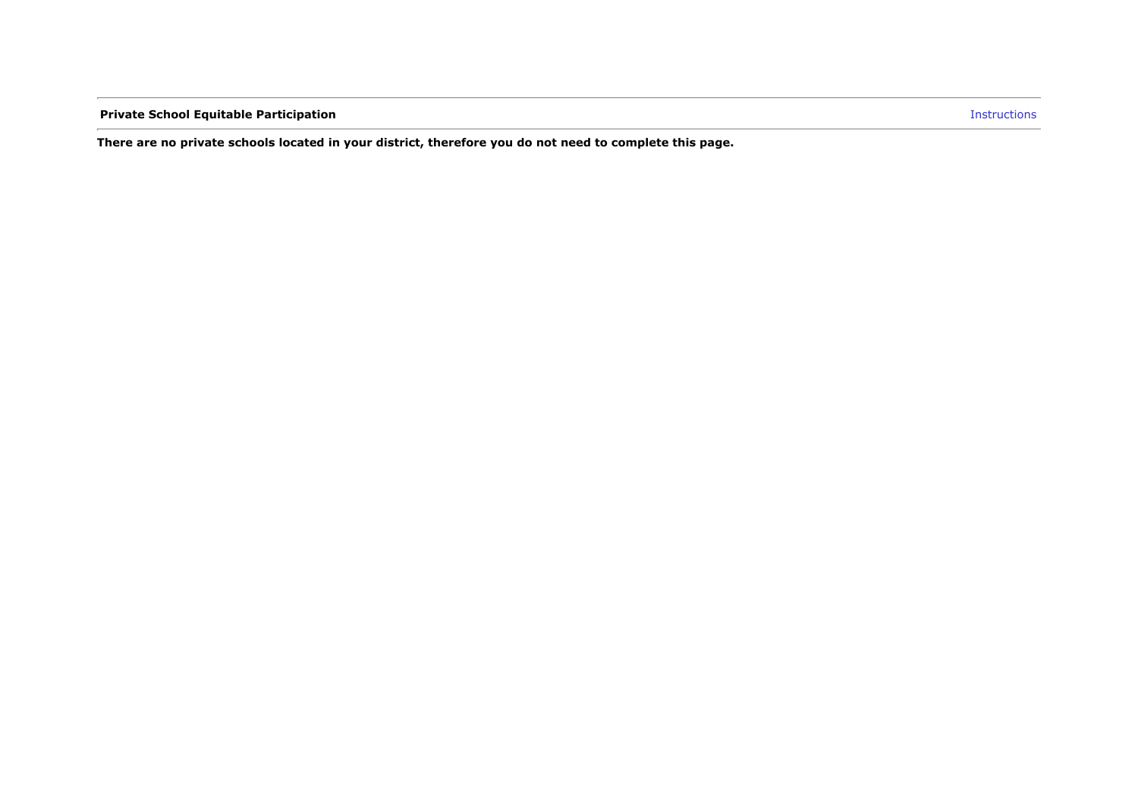**Private School Equitable Participation Instructions** 

**There are no private schools located in your district, therefore you do not need to complete this page.**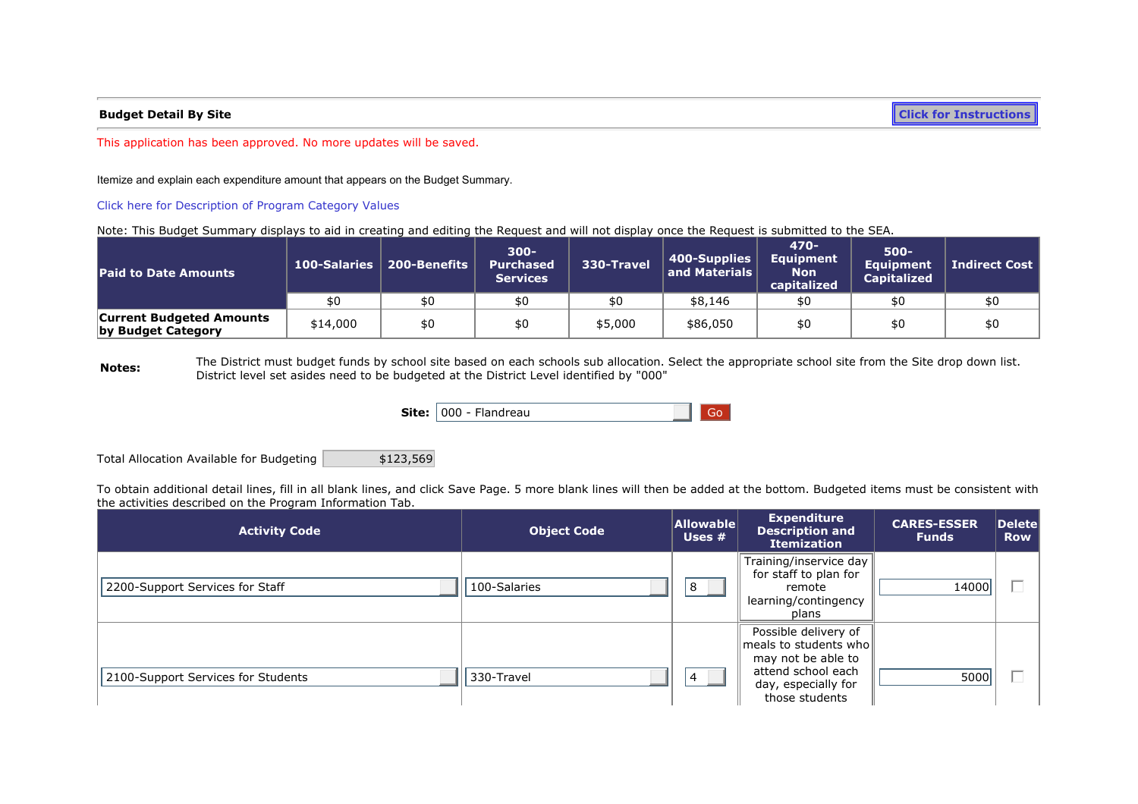**Budget Detail By Site [Click for Instructions](https://sddoe.mtwgms.org/SDDOEGMSWeb/PageRefDocs/BudgetExample.pdf)**

This application has been approved. No more updates will be saved.

Itemize and explain each expenditure amount that appears on the Budget Summary.

### [Click here for Description of Program Category Values](https://sddoe.mtwgms.org/sddoegmsweb/PageRefDocs/ProgramCategoryDescriptions.pdf)

Note: This Budget Summary displays to aid in creating and editing the Request and will not display once the Request is submitted to the SEA.

| Paid to Date Amounts                                  |          | 100-Salaries   200-Benefits | $300 -$<br><b>Purchased</b><br><b>Services</b> | 330-Travel | 400-Supplies<br>and Materials | 470-<br>Equipment<br>Non<br>capitalized | $500 -$<br><b>Equipment</b><br><b>Capitalized</b> | <b>Indirect Cost</b> |
|-------------------------------------------------------|----------|-----------------------------|------------------------------------------------|------------|-------------------------------|-----------------------------------------|---------------------------------------------------|----------------------|
|                                                       |          | \$0                         |                                                |            | \$8,146                       |                                         |                                                   |                      |
| <b>Current Budgeted Amounts</b><br>by Budget Category | \$14,000 | \$0                         |                                                | \$5,000    | \$86,050                      | \$0                                     |                                                   | \$0                  |

**Notes:** The District must budget funds by school site based on each schools sub allocation. Select the appropriate school site from the Site drop down list. District level set asides need to be budgeted at the District Level identified by "000"

|  | <b>Site:</b> 1000 - Flandreau |  | $\blacksquare$ Go $\blacksquare$ |  |
|--|-------------------------------|--|----------------------------------|--|
|--|-------------------------------|--|----------------------------------|--|

Total Allocation Available for Budgeting | \$123,569

To obtain additional detail lines, fill in all blank lines, and click Save Page. 5 more blank lines will then be added at the bottom. Budgeted items must be consistent with the activities described on the Program Information Tab.

| <b>Activity Code</b>               | <b>Object Code</b> | <b>Allowable</b><br>Uses $#$ | <b>Expenditure</b><br><b>Description and</b><br><b>Itemization</b>                                                                 | <b>CARES-ESSER</b><br><b>Funds</b> | $\vert$ Delete $\vert$<br><b>Row</b> |
|------------------------------------|--------------------|------------------------------|------------------------------------------------------------------------------------------------------------------------------------|------------------------------------|--------------------------------------|
| 2200-Support Services for Staff    | 100-Salaries       | 8                            | Training/inservice day<br>for staff to plan for<br>remote<br>learning/contingency<br>plans                                         | 14000                              |                                      |
| 2100-Support Services for Students | 330-Travel         | $\vert 4 \vert$              | Possible delivery of<br>meals to students who<br>may not be able to<br>attend school each<br>day, especially for<br>those students | 5000                               | $=$                                  |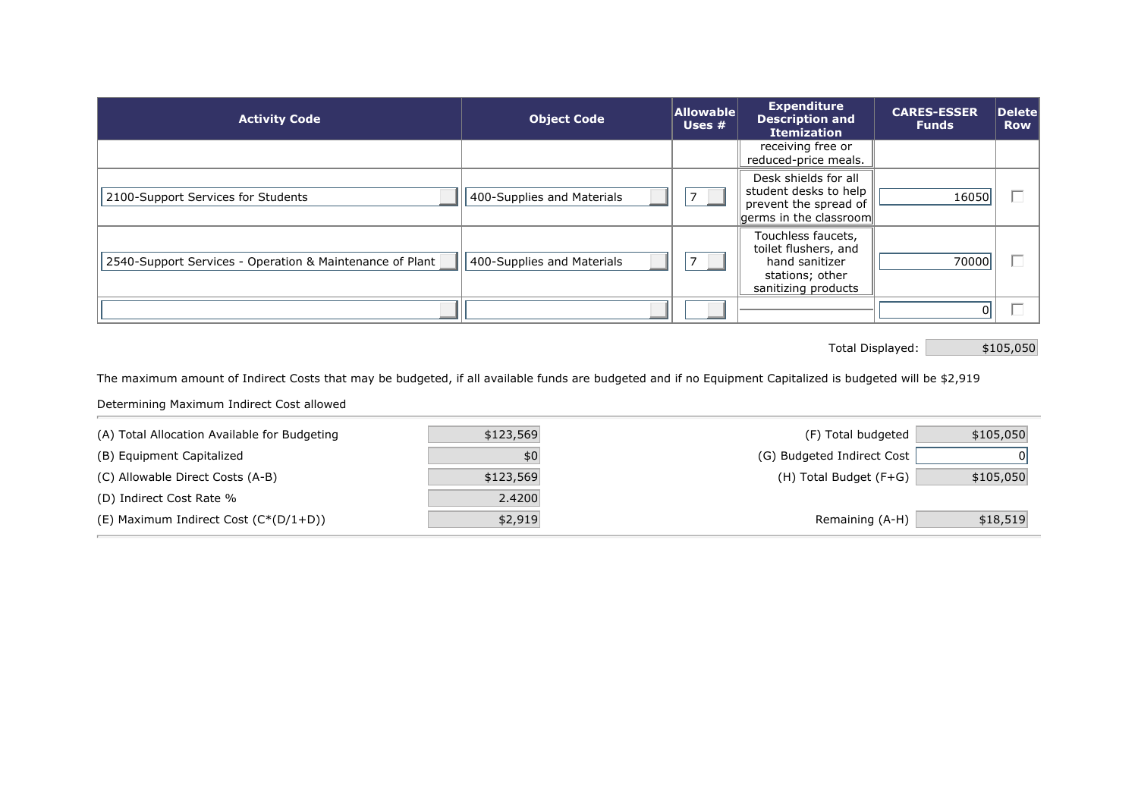| <b>Activity Code</b>                                     | <b>Object Code</b>         | Allowable<br>Uses # | <b>Expenditure</b><br><b>Description and</b><br><b>Itemization</b>                                                          | <b>CARES-ESSER</b><br><b>Funds</b> | Delete<br><b>Row</b>     |
|----------------------------------------------------------|----------------------------|---------------------|-----------------------------------------------------------------------------------------------------------------------------|------------------------------------|--------------------------|
|                                                          |                            |                     | receiving free or<br>reduced-price meals.                                                                                   |                                    |                          |
| 2100-Support Services for Students                       | 400-Supplies and Materials |                     | Desk shields for all<br>student desks to help<br>prevent the spread of<br>$\left\Vert$ germs in the classroom $\right\Vert$ | 16050                              | $\overline{\phantom{0}}$ |
| 2540-Support Services - Operation & Maintenance of Plant | 400-Supplies and Materials |                     | Touchless faucets,<br>toilet flushers, and<br>hand sanitizer<br>stations; other<br>sanitizing products                      | 70000                              | $\overline{\phantom{0}}$ |
|                                                          |                            |                     |                                                                                                                             |                                    |                          |

Total Displayed: \$105,050

The maximum amount of Indirect Costs that may be budgeted, if all available funds are budgeted and if no Equipment Capitalized is budgeted will be \$2,919

Determining Maximum Indirect Cost allowed

| (A) Total Allocation Available for Budgeting | \$123,569 | (F) Total budgeted         | \$105,050 |
|----------------------------------------------|-----------|----------------------------|-----------|
| (B) Equipment Capitalized                    | \$0       | (G) Budgeted Indirect Cost |           |
| (C) Allowable Direct Costs (A-B)             | \$123,569 | (H) Total Budget (F+G)     | \$105,050 |
| (D) Indirect Cost Rate %                     | 2.4200    |                            |           |
| (E) Maximum Indirect Cost $(C^*(D/1+D))$     | \$2,919   | Remaining (A-H)            | \$18,519  |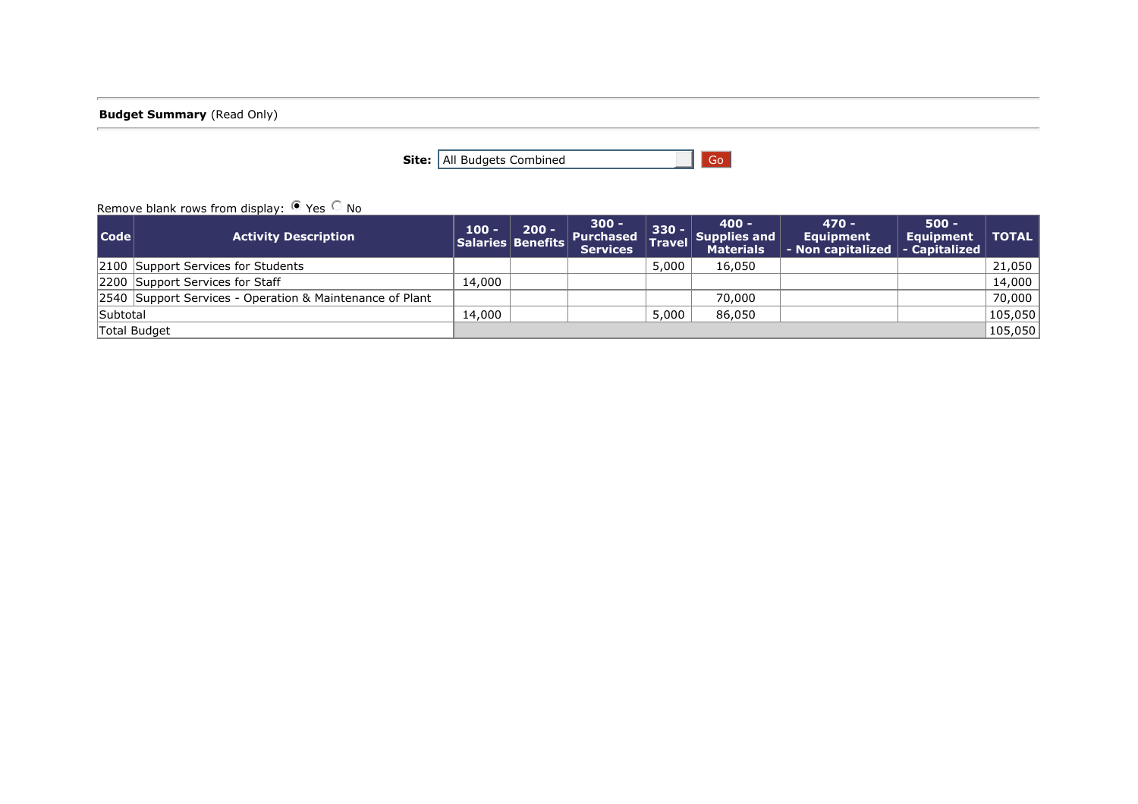**Budget Summary** (Read Only)

**Site:** All Budgets Combined Go

# Remove blank rows from display:  $\bullet$  Yes  $\circ$  No

| Code     | <b>Activity Description</b>                              | /100 - / | $200 -$ | $300 -$<br><b>Services</b> | $330 -$ | $400 -$<br>Salaries Benefits Purchased Travel Supplies and<br><b>Materials</b> | $470 -$<br>Equipment<br>$\vert$ - Non capitalized $\vert$ - Capitalized $\vert$ | <b>500 -</b><br>Equipment   TOTAL |         |
|----------|----------------------------------------------------------|----------|---------|----------------------------|---------|--------------------------------------------------------------------------------|---------------------------------------------------------------------------------|-----------------------------------|---------|
|          | 2100 Support Services for Students                       |          |         |                            | 5,000   | 16,050                                                                         |                                                                                 |                                   | 21,050  |
|          | 2200 Support Services for Staff                          | 14,000   |         |                            |         |                                                                                |                                                                                 |                                   | 14,000  |
|          | 2540 Support Services - Operation & Maintenance of Plant |          |         |                            |         | 70,000                                                                         |                                                                                 |                                   | 70,000  |
| Subtotal |                                                          | 14,000   |         |                            | 5,000   | 86,050                                                                         |                                                                                 |                                   | 105,050 |
|          | Total Budget                                             |          |         |                            |         |                                                                                |                                                                                 |                                   | 105,050 |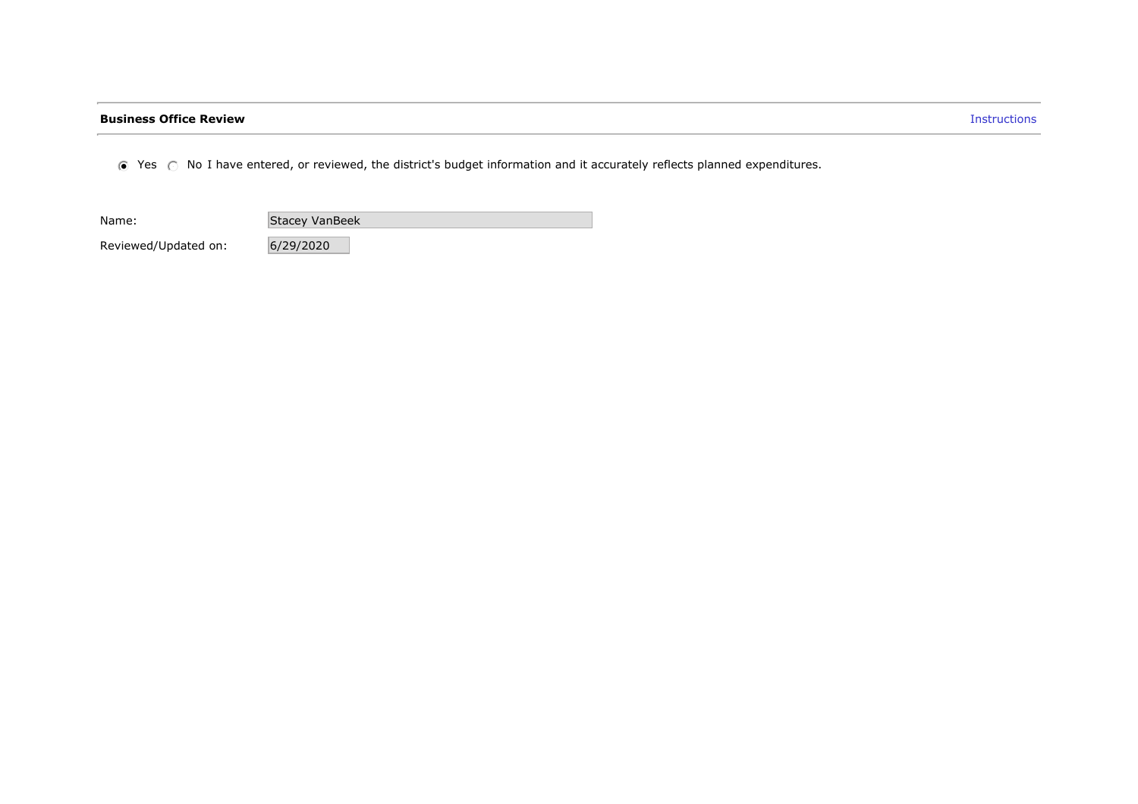# **Business Office Review Instructions**

 $\odot$  Yes  $\odot$  No I have entered, or reviewed, the district's budget information and it accurately reflects planned expenditures.

Name: Stacey VanBeek

Reviewed/Updated on: 6/29/2020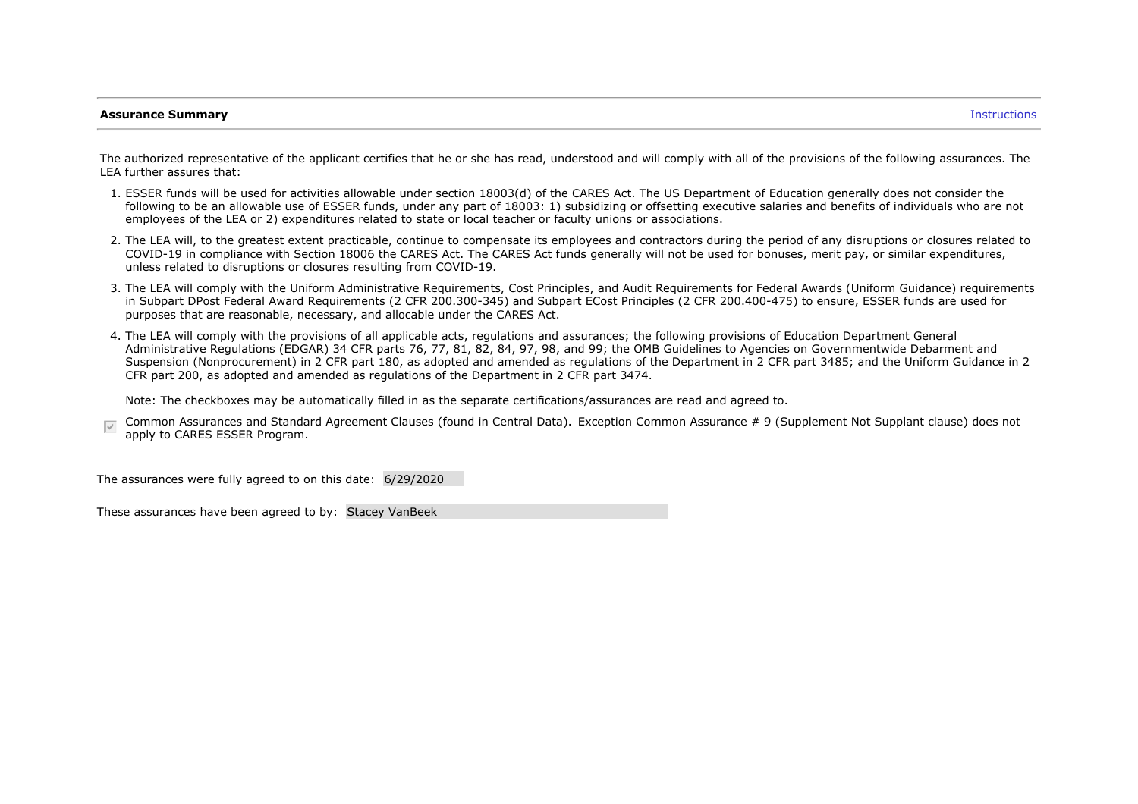### **Assurance Summary** Instructions

The authorized representative of the applicant certifies that he or she has read, understood and will comply with all of the provisions of the following assurances. The LEA further assures that:

- 1. ESSER funds will be used for activities allowable under section 18003(d) of the CARES Act. The US Department of Education generally does not consider the following to be an allowable use of ESSER funds, under any part of 18003: 1) subsidizing or offsetting executive salaries and benefits of individuals who are not employees of the LEA or 2) expenditures related to state or local teacher or faculty unions or associations.
- 2. The LEA will, to the greatest extent practicable, continue to compensate its employees and contractors during the period of any disruptions or closures related to COVID-19 in compliance with Section 18006 the CARES Act. The CARES Act funds generally will not be used for bonuses, merit pay, or similar expenditures, unless related to disruptions or closures resulting from COVID-19.
- 3. The LEA will comply with the Uniform Administrative Requirements, Cost Principles, and Audit Requirements for Federal Awards (Uniform Guidance) requirements in Subpart DPost Federal Award Requirements (2 CFR 200.300-345) and Subpart ECost Principles (2 CFR 200.400-475) to ensure, ESSER funds are used for purposes that are reasonable, necessary, and allocable under the CARES Act.
- 4. The LEA will comply with the provisions of all applicable acts, regulations and assurances; the following provisions of Education Department General Administrative Regulations (EDGAR) 34 CFR parts 76, 77, 81, 82, 84, 97, 98, and 99; the OMB Guidelines to Agencies on Governmentwide Debarment and Suspension (Nonprocurement) in 2 CFR part 180, as adopted and amended as regulations of the Department in 2 CFR part 3485; and the Uniform Guidance in 2 CFR part 200, as adopted and amended as regulations of the Department in 2 CFR part 3474.

Note: The checkboxes may be automatically filled in as the separate certifications/assurances are read and agreed to.

Common Assurances and Standard Agreement Clauses (found in Central Data). Exception Common Assurance # 9 (Supplement Not Supplant clause) does not apply to CARES ESSER Program.

The assurances were fully agreed to on this date: 6/29/2020

These assurances have been agreed to by: Stacey VanBeek